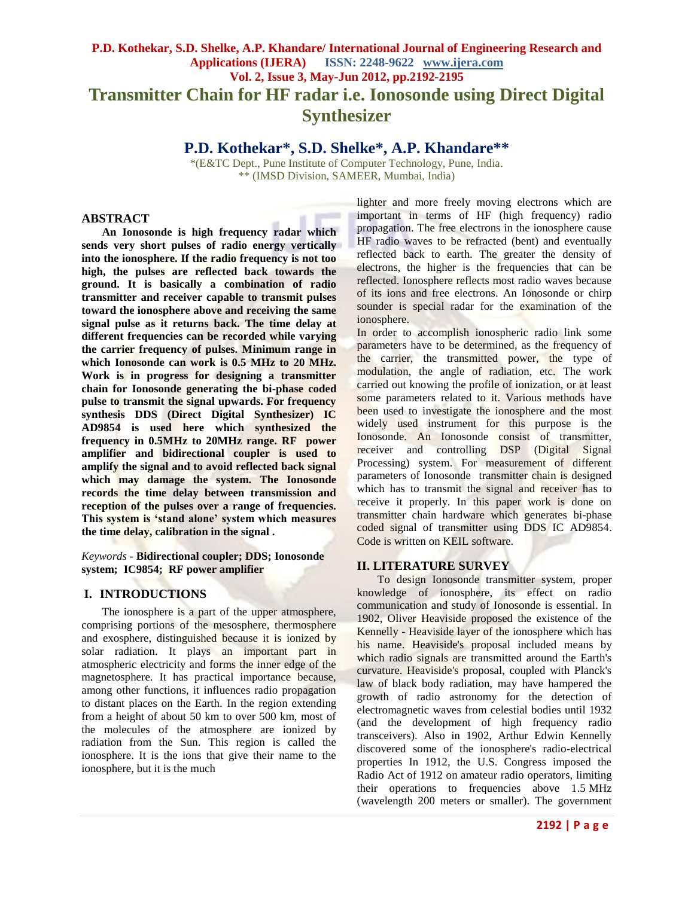# **P.D. Kothekar, S.D. Shelke, A.P. Khandare/ International Journal of Engineering Research and Applications (IJERA) ISSN: 2248-9622 www.ijera.com Vol. 2, Issue 3, May-Jun 2012, pp.2192-2195 Transmitter Chain for HF radar i.e. Ionosonde using Direct Digital Synthesizer**

# **P.D. Kothekar\*, S.D. Shelke\*, A.P. Khandare\*\***

\*(E&TC Dept., Pune Institute of Computer Technology, Pune, India. \*\* (IMSD Division, SAMEER, Mumbai, India)

## **ABSTRACT**

**An Ionosonde is high frequency radar which sends very short pulses of radio energy vertically into the ionosphere. If the radio frequency is not too high, the pulses are reflected back towards the ground. It is basically a combination of radio transmitter and receiver capable to transmit pulses toward the ionosphere above and receiving the same signal pulse as it returns back. The time delay at different frequencies can be recorded while varying the carrier frequency of pulses. Minimum range in which Ionosonde can work is 0.5 MHz to 20 MHz. Work is in progress for designing a transmitter chain for Ionosonde generating the bi-phase coded pulse to transmit the signal upwards. For frequency synthesis DDS (Direct Digital Synthesizer) IC AD9854 is used here which synthesized the frequency in 0.5MHz to 20MHz range. RF power amplifier and bidirectional coupler is used to amplify the signal and to avoid reflected back signal which may damage the system. The Ionosonde records the time delay between transmission and reception of the pulses over a range of frequencies. This system is 'stand alone' system which measures the time delay, calibration in the signal .**

*Keywords* **- Bidirectional coupler; DDS; Ionosonde system; IC9854; RF power amplifier**

#### **I. INTRODUCTIONS**

The ionosphere is a part of the upper atmosphere, comprising portions of the mesosphere, thermosphere and exosphere, distinguished because it is ionized by solar radiation. It plays an important part in atmospheric electricity and forms the inner edge of the magnetosphere. It has practical importance because, among other functions, it influences radio propagation to distant places on the Earth. In the region extending from a height of about 50 km to over 500 km, most of the molecules of the atmosphere are ionized by radiation from the Sun. This region is called the ionosphere. It is the ions that give their name to the ionosphere, but it is the much

lighter and more freely moving electrons which are important in terms of HF (high frequency) radio propagation. The free electrons in the ionosphere cause HF radio waves to be refracted (bent) and eventually reflected back to earth. The greater the density of electrons, the higher is the frequencies that can be reflected. Ionosphere reflects most radio waves because of its ions and free electrons. An Ionosonde or chirp sounder is special radar for the examination of the ionosphere.

In order to accomplish ionospheric radio link some parameters have to be determined, as the frequency of the carrier, the transmitted power, the type of modulation, the angle of radiation, etc. The work carried out knowing the profile of ionization, or at least some parameters related to it. Various methods have been used to investigate the ionosphere and the most widely used instrument for this purpose is the Ionosonde. An Ionosonde consist of transmitter, receiver and controlling DSP (Digital Signal Processing) system. For measurement of different parameters of Ionosonde transmitter chain is designed which has to transmit the signal and receiver has to receive it properly. In this paper work is done on transmitter chain hardware which generates bi-phase coded signal of transmitter using DDS IC AD9854. Code is written on KEIL software.

#### **II. LITERATURE SURVEY**

To design Ionosonde transmitter system, proper knowledge of ionosphere, its effect on radio communication and study of Ionosonde is essential. In 1902, Oliver Heaviside proposed the existence of the Kennelly - Heaviside layer of the ionosphere which has his name. Heaviside's proposal included means by which radio signals are transmitted around the Earth's curvature. Heaviside's proposal, coupled with Planck's law of black body radiation, may have hampered the growth of radio astronomy for the detection of electromagnetic waves from celestial bodies until 1932 (and the development of high frequency radio transceivers). Also in 1902, Arthur Edwin Kennelly discovered some of the ionosphere's radio-electrical properties In 1912, the U.S. Congress imposed the Radio Act of 1912 on amateur radio operators, limiting their operations to frequencies above 1.5 MHz (wavelength 200 meters or smaller). The government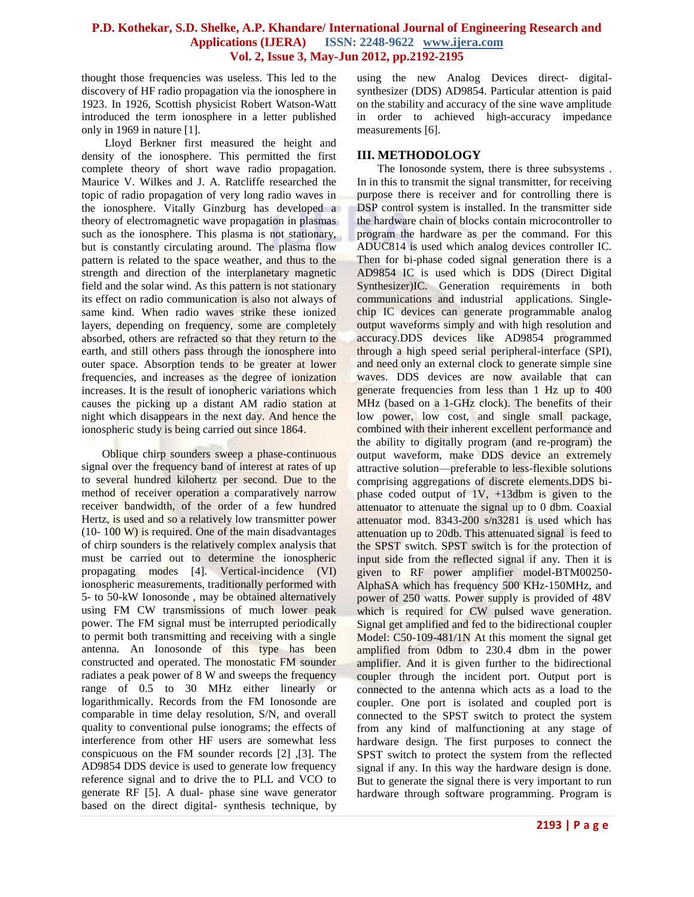#### **P.D. Kothekar, S.D. Shelke, A.P. Khandare/ International Journal of Engineering Research and Applications (IJERA) ISSN: 2248-9622 www.ijera.com Vol. 2, Issue 3, May-Jun 2012, pp.2192-2195**

thought those frequencies was useless. This led to the discovery of HF radio propagation via the ionosphere in 1923. In 1926, Scottish physicist Robert Watson-Watt introduced the term ionosphere in a letter published only in 1969 in nature [1].

Lloyd Berkner first measured the height and density of the ionosphere. This permitted the first complete theory of short wave radio propagation. Maurice V. Wilkes and J. A. Ratcliffe researched the topic of radio propagation of very long radio waves in the ionosphere. Vitally Ginzburg has developed a theory of electromagnetic wave propagation in plasmas such as the ionosphere. This plasma is not stationary, but is constantly circulating around. The plasma flow pattern is related to the space weather, and thus to the strength and direction of the interplanetary magnetic field and the solar wind. As this pattern is not stationary its effect on radio communication is also not always of same kind. When radio waves strike these ionized layers, depending on frequency, some are completely absorbed, others are refracted so that they return to the earth, and still others pass through the ionosphere into outer space. Absorption tends to be greater at lower frequencies, and increases as the degree of ionization increases. It is the result of ionopheric variations which causes the picking up a distant AM radio station at night which disappears in the next day. And hence the ionospheric study is being carried out since 1864.

Oblique chirp sounders sweep a phase-continuous signal over the frequency band of interest at rates of up to several hundred kilohertz per second. Due to the method of receiver operation a comparatively narrow receiver bandwidth, of the order of a few hundred Hertz, is used and so a relatively low transmitter power (10- 100 W) is required. One of the main disadvantages of chirp sounders is the relatively complex analysis that must be carried out to determine the ionospheric propagating modes [4]. Vertical-incidence (VI) ionospheric measurements, traditionally performed with 5- to 50-kW Ionosonde , may be obtained alternatively using FM CW transmissions of much lower peak power. The FM signal must be interrupted periodically to permit both transmitting and receiving with a single antenna. An Ionosonde of this type has been constructed and operated. The monostatic FM sounder radiates a peak power of 8 W and sweeps the frequency range of 0.5 to 30 MHz either linearly or logarithmically. Records from the FM Ionosonde are comparable in time delay resolution, S/N, and overall quality to conventional pulse ionograms; the effects of interference from other HF users are somewhat less conspicuous on the FM sounder records [2] ,[3]. The AD9854 DDS device is used to generate low frequency reference signal and to drive the to PLL and VCO to generate RF [5]. A dual- phase sine wave generator based on the direct digital- synthesis technique, by

using the new Analog Devices direct- digitalsynthesizer (DDS) AD9854. Particular attention is paid on the stability and accuracy of the sine wave amplitude in order to achieved high-accuracy impedance measurements [6].

# **III. METHODOLOGY**

The Ionosonde system, there is three subsystems . In in this to transmit the signal transmitter, for receiving purpose there is receiver and for controlling there is DSP control system is installed. In the transmitter side the hardware chain of blocks contain microcontroller to program the hardware as per the command. For this ADUC814 is used which analog devices controller IC. Then for bi-phase coded signal generation there is a AD9854 IC is used which is DDS (Direct Digital Synthesizer)IC. Generation requirements in both communications and industrial applications. Singlechip IC devices can generate programmable analog output waveforms simply and with high resolution and accuracy.DDS devices like AD9854 programmed through a high speed serial peripheral-interface (SPI), and need only an external clock to generate simple sine waves. DDS devices are now available that can generate frequencies from less than 1 Hz up to 400 MHz (based on a 1-GHz clock). The benefits of their low power, low cost, and single small package, combined with their inherent excellent performance and the ability to digitally program (and re-program) the output waveform, make DDS device an extremely attractive solution—preferable to less-flexible solutions comprising aggregations of discrete elements.DDS biphase coded output of  $1V$ ,  $+13$ dbm is given to the attenuator to attenuate the signal up to 0 dbm. Coaxial attenuator mod. 8343-200 s/n3281 is used which has attenuation up to 20db. This attenuated signal is feed to the SPST switch. SPST switch is for the protection of input side from the reflected signal if any. Then it is given to RF power amplifier model-BTM00250- AlphaSA which has frequency 500 KHz-150MHz, and power of 250 watts. Power supply is provided of 48V which is required for CW pulsed wave generation. Signal get amplified and fed to the bidirectional coupler Model: C50-109-481/1N At this moment the signal get amplified from 0dbm to 230.4 dbm in the power amplifier. And it is given further to the bidirectional coupler through the incident port. Output port is connected to the antenna which acts as a load to the coupler. One port is isolated and coupled port is connected to the SPST switch to protect the system from any kind of malfunctioning at any stage of hardware design. The first purposes to connect the SPST switch to protect the system from the reflected signal if any. In this way the hardware design is done. But to generate the signal there is very important to run hardware through software programming. Program is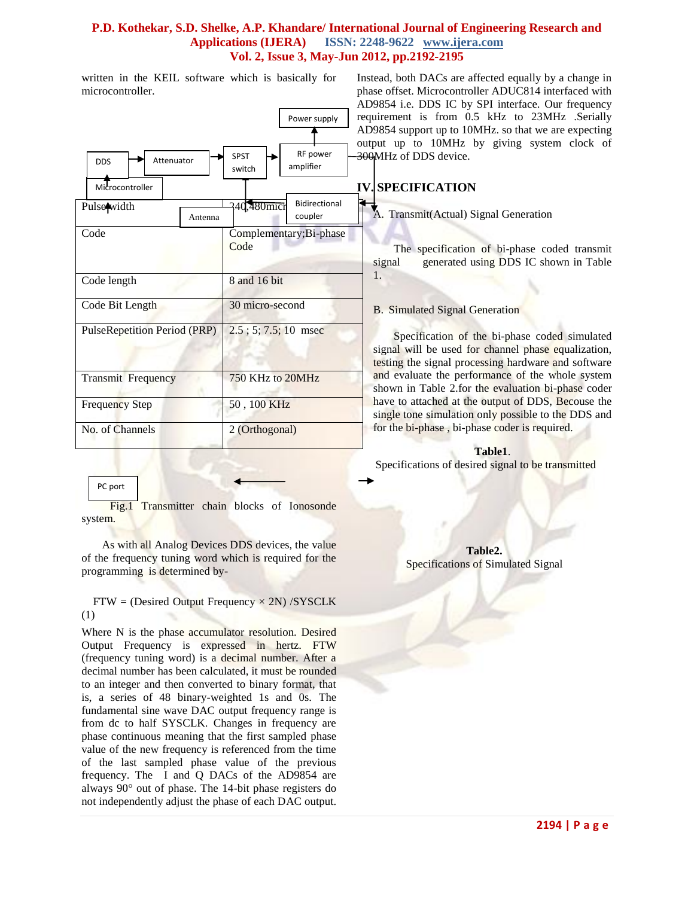## **P.D. Kothekar, S.D. Shelke, A.P. Khandare/ International Journal of Engineering Research and Applications (IJERA) ISSN: 2248-9622 www.ijera.com Vol. 2, Issue 3, May-Jun 2012, pp.2192-2195**

written in the KEIL software which is basically for microcontroller.

|                                             | 1<br>Power supply                              |
|---------------------------------------------|------------------------------------------------|
| Attenuator<br><b>DDS</b><br>Microcontroller | RF power<br><b>SPST</b><br>amplifier<br>switch |
| Pulsewidth<br>Antenna                       | <b>Bidirectional</b><br>240,480mici<br>coupler |
| Code                                        | Complementary; Bi-phase<br>Code                |
| Code length                                 | 8 and 16 bit                                   |
| Code Bit Length                             | 30 micro-second                                |
| PulseRepetition Period (PRP)                | $2.5$ ; 5; 7.5; 10 msec                        |
| <b>Transmit Frequency</b>                   | 750 KHz to 20MHz                               |
| <b>Frequency Step</b>                       | 50, 100 KHz                                    |
| No. of Channels                             | 2 (Orthogonal)                                 |

 Fig.1 Transmitter chain blocks of Ionosonde system.

PC port

As with all Analog Devices DDS devices, the value of the frequency tuning word which is required for the programming is determined by-

 $FTW = (Desired Output Frequency \times 2N) / SYSCLK$ (1)

Where N is the phase accumulator resolution. Desired Output Frequency is expressed in hertz. FTW (frequency tuning word) is a decimal number. After a decimal number has been calculated, it must be rounded to an integer and then converted to binary format, that is, a series of 48 binary-weighted 1s and 0s. The fundamental sine wave DAC output frequency range is from dc to half SYSCLK. Changes in frequency are phase continuous meaning that the first sampled phase value of the new frequency is referenced from the time of the last sampled phase value of the previous frequency. The I and Q DACs of the AD9854 are always 90° out of phase. The 14-bit phase registers do not independently adjust the phase of each DAC output. Instead, both DACs are affected equally by a change in phase offset. Microcontroller ADUC814 interfaced with AD9854 i.e. DDS IC by SPI interface. Our frequency requirement is from 0.5 kHz to 23MHz .Serially AD9854 support up to 10MHz. so that we are expecting output up to 10MHz by giving system clock of 300MHz of DDS device.

# **IV. SPECIFICATION**

A. Transmit(Actual) Signal Generation

The specification of bi-phase coded transmit signal generated using DDS IC shown in Table 1.

## B. Simulated Signal Generation

Specification of the bi-phase coded simulated signal will be used for channel phase equalization, testing the signal processing hardware and software and evaluate the performance of the whole system shown in Table 2.for the evaluation bi-phase coder have to attached at the output of DDS, Becouse the single tone simulation only possible to the DDS and for the bi-phase , bi-phase coder is required.

**Table1**.

Specifications of desired signal to be transmitted

**Table2.** Specifications of Simulated Signal